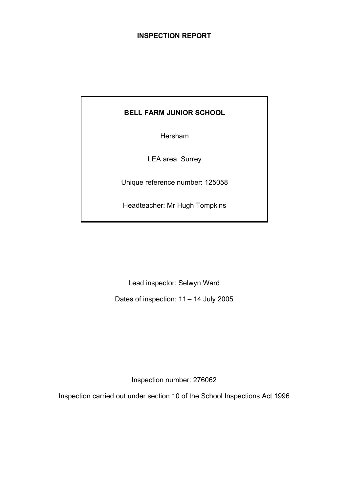## **INSPECTION REPORT**

# **BELL FARM JUNIOR SCHOOL**

Hersham

LEA area: Surrey

Unique reference number: 125058

Headteacher: Mr Hugh Tompkins

Lead inspector: Selwyn Ward

Dates of inspection: 11 – 14 July 2005

Inspection number: 276062

Inspection carried out under section 10 of the School Inspections Act 1996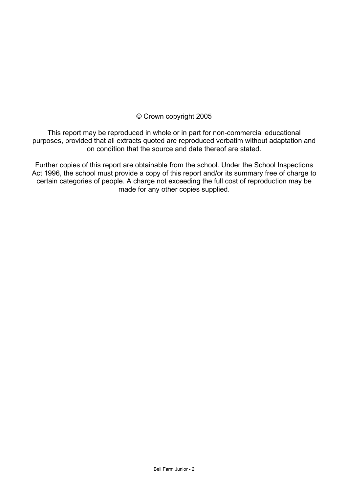## © Crown copyright 2005

This report may be reproduced in whole or in part for non-commercial educational purposes, provided that all extracts quoted are reproduced verbatim without adaptation and on condition that the source and date thereof are stated.

Further copies of this report are obtainable from the school. Under the School Inspections Act 1996, the school must provide a copy of this report and/or its summary free of charge to certain categories of people. A charge not exceeding the full cost of reproduction may be made for any other copies supplied.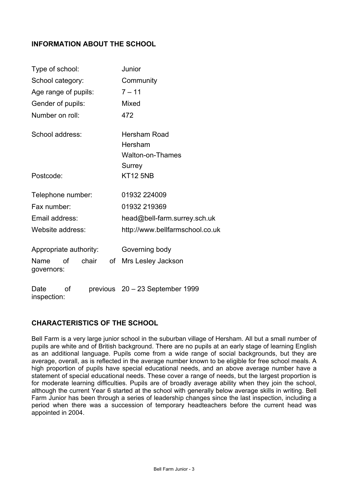## **INFORMATION ABOUT THE SCHOOL**

| Type of school:                         | Junior                          |  |  |  |  |
|-----------------------------------------|---------------------------------|--|--|--|--|
| School category:                        | Community                       |  |  |  |  |
| Age range of pupils:                    | $7 - 11$                        |  |  |  |  |
| Gender of pupils:                       | Mixed                           |  |  |  |  |
| Number on roll:                         | 472                             |  |  |  |  |
| School address:                         | Hersham Road                    |  |  |  |  |
|                                         | Hersham                         |  |  |  |  |
|                                         | <b>Walton-on-Thames</b>         |  |  |  |  |
|                                         | Surrey                          |  |  |  |  |
| Postcode:                               | <b>KT12 5NB</b>                 |  |  |  |  |
| Telephone number:                       | 01932 224009                    |  |  |  |  |
| Fax number:                             | 01932 219369                    |  |  |  |  |
| Email address:                          | head@bell-farm.surrey.sch.uk    |  |  |  |  |
| Website address:                        | http://www.bellfarmschool.co.uk |  |  |  |  |
| Appropriate authority:                  | Governing body                  |  |  |  |  |
| chair<br>Name<br>οf<br>of<br>governors: | Mrs Lesley Jackson              |  |  |  |  |
| οf<br>Date<br>inspection:               | previous 20 - 23 September 1999 |  |  |  |  |

## **CHARACTERISTICS OF THE SCHOOL**

Bell Farm is a very large junior school in the suburban village of Hersham. All but a small number of pupils are white and of British background. There are no pupils at an early stage of learning English as an additional language. Pupils come from a wide range of social backgrounds, but they are average, overall, as is reflected in the average number known to be eligible for free school meals. A high proportion of pupils have special educational needs, and an above average number have a statement of special educational needs. These cover a range of needs, but the largest proportion is for moderate learning difficulties. Pupils are of broadly average ability when they join the school, although the current Year 6 started at the school with generally below average skills in writing. Bell Farm Junior has been through a series of leadership changes since the last inspection, including a period when there was a succession of temporary headteachers before the current head was appointed in 2004.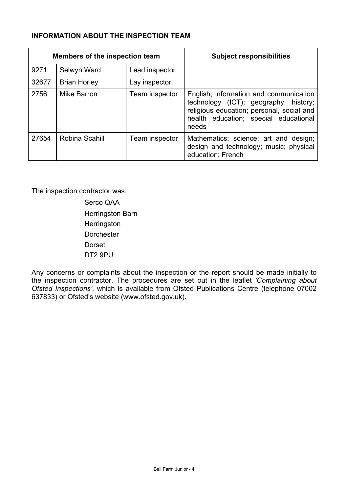# **INFORMATION ABOUT THE INSPECTION TEAM**

| Members of the inspection team |                     |                | <b>Subject responsibilities</b>                                                                                                                                                |
|--------------------------------|---------------------|----------------|--------------------------------------------------------------------------------------------------------------------------------------------------------------------------------|
| 9271                           | Selwyn Ward         | Lead inspector |                                                                                                                                                                                |
| 32677                          | <b>Brian Horley</b> | Lay inspector  |                                                                                                                                                                                |
| 2756                           | Mike Barron         | Team inspector | English; information and communication<br>technology (ICT); geography; history;<br>religious education; personal, social and<br>health education; special educational<br>needs |
| 27654                          | Robina Scahill      | Team inspector | Mathematics; science; art and design;<br>design and technology; music; physical<br>education; French                                                                           |

The inspection contractor was:

Serco QAA Herringston Barn **Herringston Dorchester**  Dorset DT2 9PU

Any concerns or complaints about the inspection or the report should be made initially to the inspection contractor. The procedures are set out in the leaflet *'Complaining about Ofsted Inspections'*, which is available from Ofsted Publications Centre (telephone 07002 637833) or Ofsted's website (www.ofsted.gov.uk).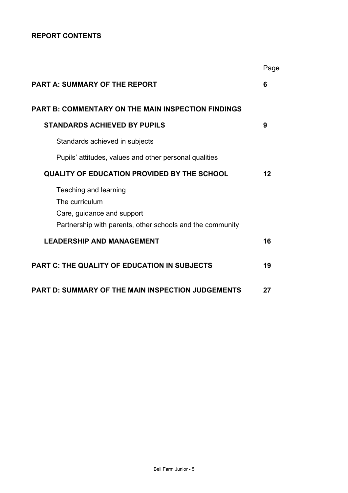# **REPORT CONTENTS**

|                                                                       | Page |
|-----------------------------------------------------------------------|------|
| <b>PART A: SUMMARY OF THE REPORT</b>                                  | 6    |
| <b>PART B: COMMENTARY ON THE MAIN INSPECTION FINDINGS</b>             |      |
| <b>STANDARDS ACHIEVED BY PUPILS</b>                                   | 9    |
| Standards achieved in subjects                                        |      |
| Pupils' attitudes, values and other personal qualities                |      |
| <b>QUALITY OF EDUCATION PROVIDED BY THE SCHOOL</b>                    | 12   |
| Teaching and learning<br>The curriculum<br>Care, guidance and support |      |
| Partnership with parents, other schools and the community             |      |
| <b>LEADERSHIP AND MANAGEMENT</b>                                      | 16   |
| <b>PART C: THE QUALITY OF EDUCATION IN SUBJECTS</b>                   | 19   |
| <b>PART D: SUMMARY OF THE MAIN INSPECTION JUDGEMENTS</b>              | 27   |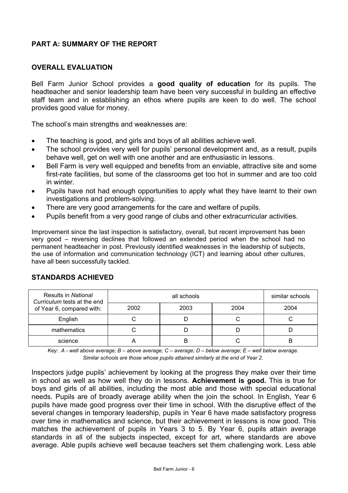## **PART A: SUMMARY OF THE REPORT**

#### **OVERALL EVALUATION**

Bell Farm Junior School provides a **good quality of education** for its pupils. The headteacher and senior leadership team have been very successful in building an effective staff team and in establishing an ethos where pupils are keen to do well. The school provides good value for money.

The school's main strengths and weaknesses are:

- The teaching is good, and girls and boys of all abilities achieve well.
- The school provides very well for pupils' personal development and, as a result, pupils behave well, get on well with one another and are enthusiastic in lessons.
- Bell Farm is very well equipped and benefits from an enviable, attractive site and some first-rate facilities, but some of the classrooms get too hot in summer and are too cold in winter.
- Pupils have not had enough opportunities to apply what they have learnt to their own investigations and problem-solving.
- There are very good arrangements for the care and welfare of pupils.
- Pupils benefit from a very good range of clubs and other extracurricular activities.

Improvement since the last inspection is satisfactory, overall, but recent improvement has been very good – reversing declines that followed an extended period when the school had no permanent headteacher in post. Previously identified weaknesses in the leadership of subjects, the use of information and communication technology (ICT) and learning about other cultures, have all been successfully tackled.

| Results in National<br>Curriculum tests at the end |      | similar schools |      |      |
|----------------------------------------------------|------|-----------------|------|------|
| of Year 6, compared with:                          | 2002 | 2003            | 2004 | 2004 |
| English                                            |      |                 |      |      |
| mathematics                                        |      |                 |      |      |
| science                                            |      |                 |      | в    |

#### **STANDARDS ACHIEVED**

*Key: A - well above average; B – above average; C – average; D – below average; E – well below average. Similar schools are those whose pupils attained similarly at the end of Year 2.* 

Inspectors judge pupils' achievement by looking at the progress they make over their time in school as well as how well they do in lessons. **Achievement is good.** This is true for boys and girls of all abilities, including the most able and those with special educational needs. Pupils are of broadly average ability when the join the school. In English, Year 6 pupils have made good progress over their time in school. With the disruptive effect of the several changes in temporary leadership, pupils in Year 6 have made satisfactory progress over time in mathematics and science, but their achievement in lessons is now good. This matches the achievement of pupils in Years 3 to 5. By Year 6, pupils attain average standards in all of the subjects inspected, except for art, where standards are above average. Able pupils achieve well because teachers set them challenging work. Less able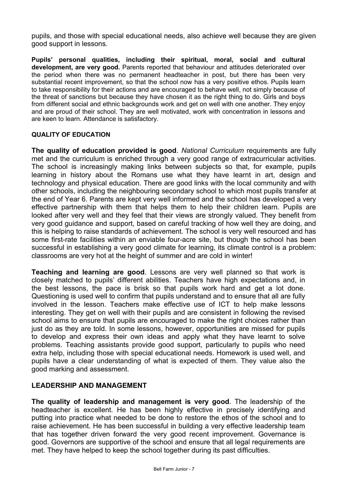pupils, and those with special educational needs, also achieve well because they are given good support in lessons.

**Pupils' personal qualities, including their spiritual, moral, social and cultural development, are very good.** Parents reported that behaviour and attitudes deteriorated over the period when there was no permanent headteacher in post, but there has been very substantial recent improvement, so that the school now has a very positive ethos. Pupils learn to take responsibility for their actions and are encouraged to behave well, not simply because of the threat of sanctions but because they have chosen it as the right thing to do. Girls and boys from different social and ethnic backgrounds work and get on well with one another. They enjoy and are proud of their school. They are well motivated, work with concentration in lessons and are keen to learn. Attendance is satisfactory.

#### **QUALITY OF EDUCATION**

**The quality of education provided is good**. *National Curriculum* requirements are fully met and the curriculum is enriched through a very good range of extracurricular activities. The school is increasingly making links between subjects so that, for example, pupils learning in history about the Romans use what they have learnt in art, design and technology and physical education. There are good links with the local community and with other schools, including the neighbouring secondary school to which most pupils transfer at the end of Year 6. Parents are kept very well informed and the school has developed a very effective partnership with them that helps them to help their children learn. Pupils are looked after very well and they feel that their views are strongly valued. They benefit from very good guidance and support, based on careful tracking of how well they are doing, and this is helping to raise standards of achievement. The school is very well resourced and has some first-rate facilities within an enviable four-acre site, but though the school has been successful in establishing a very good climate for learning, its climate control is a problem: classrooms are very hot at the height of summer and are cold in winter!

**Teaching and learning are good**. Lessons are very well planned so that work is closely matched to pupils' different abilities. Teachers have high expectations and, in the best lessons, the pace is brisk so that pupils work hard and get a lot done. Questioning is used well to confirm that pupils understand and to ensure that all are fully involved in the lesson. Teachers make effective use of ICT to help make lessons interesting. They get on well with their pupils and are consistent in following the revised school aims to ensure that pupils are encouraged to make the right choices rather than just do as they are told. In some lessons, however, opportunities are missed for pupils to develop and express their own ideas and apply what they have learnt to solve problems. Teaching assistants provide good support, particularly to pupils who need extra help, including those with special educational needs. Homework is used well, and pupils have a clear understanding of what is expected of them. They value also the good marking and assessment.

## **LEADERSHIP AND MANAGEMENT**

**The quality of leadership and management is very good**. The leadership of the headteacher is excellent. He has been highly effective in precisely identifying and putting into practice what needed to be done to restore the ethos of the school and to raise achievement. He has been successful in building a very effective leadership team that has together driven forward the very good recent improvement. Governance is good. Governors are supportive of the school and ensure that all legal requirements are met. They have helped to keep the school together during its past difficulties.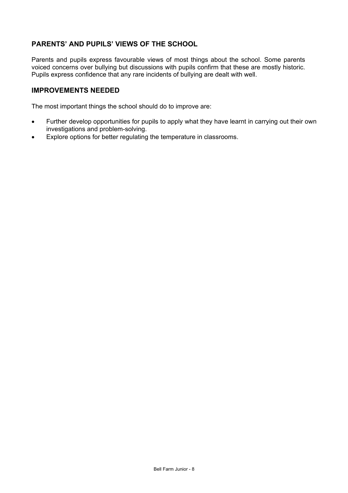# **PARENTS' AND PUPILS' VIEWS OF THE SCHOOL**

Parents and pupils express favourable views of most things about the school. Some parents voiced concerns over bullying but discussions with pupils confirm that these are mostly historic. Pupils express confidence that any rare incidents of bullying are dealt with well.

#### **IMPROVEMENTS NEEDED**

The most important things the school should do to improve are:

- Further develop opportunities for pupils to apply what they have learnt in carrying out their own investigations and problem-solving.
- Explore options for better regulating the temperature in classrooms.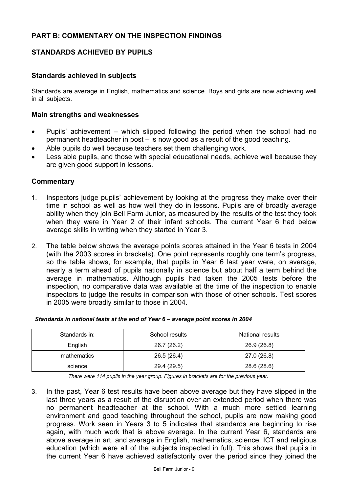## **STANDARDS ACHIEVED BY PUPILS**

## **Standards achieved in subjects**

Standards are average in English, mathematics and science. Boys and girls are now achieving well in all subjects.

#### **Main strengths and weaknesses**

- Pupils' achievement which slipped following the period when the school had no permanent headteacher in post – is now good as a result of the good teaching.
- Able pupils do well because teachers set them challenging work.
- Less able pupils, and those with special educational needs, achieve well because they are given good support in lessons.

#### **Commentary**

- 1. Inspectors judge pupils' achievement by looking at the progress they make over their time in school as well as how well they do in lessons. Pupils are of broadly average ability when they join Bell Farm Junior, as measured by the results of the test they took when they were in Year 2 of their infant schools. The current Year 6 had below average skills in writing when they started in Year 3.
- 2. The table below shows the average points scores attained in the Year 6 tests in 2004 (with the 2003 scores in brackets). One point represents roughly one term's progress, so the table shows, for example, that pupils in Year 6 last year were, on average, nearly a term ahead of pupils nationally in science but about half a term behind the average in mathematics. Although pupils had taken the 2005 tests before the inspection, no comparative data was available at the time of the inspection to enable inspectors to judge the results in comparison with those of other schools. Test scores in 2005 were broadly similar to those in 2004.

| Standards in: | School results | National results |
|---------------|----------------|------------------|
| English       | 26.7 (26.2)    | 26.9 (26.8)      |
| mathematics   | 26.5 (26.4)    | 27.0 (26.8)      |
| science       | 29.4 (29.5)    | 28.6 (28.6)      |

#### *Standards in national tests at the end of Year 6 – average point scores in 2004*

*There were 114 pupils in the year group. Figures in brackets are for the previous year.* 

3. In the past, Year 6 test results have been above average but they have slipped in the last three years as a result of the disruption over an extended period when there was no permanent headteacher at the school. With a much more settled learning environment and good teaching throughout the school, pupils are now making good progress. Work seen in Years 3 to 5 indicates that standards are beginning to rise again, with much work that is above average. In the current Year 6, standards are above average in art, and average in English, mathematics, science, ICT and religious education (which were all of the subjects inspected in full). This shows that pupils in the current Year 6 have achieved satisfactorily over the period since they joined the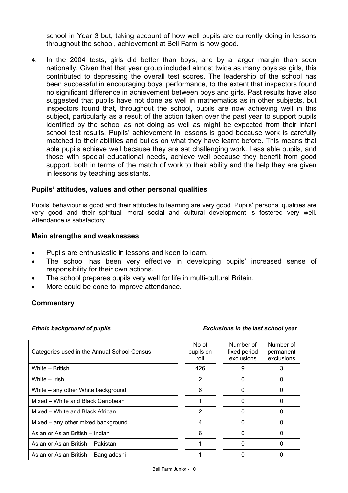school in Year 3 but, taking account of how well pupils are currently doing in lessons throughout the school, achievement at Bell Farm is now good.

4. In the 2004 tests, girls did better than boys, and by a larger margin than seen nationally. Given that that year group included almost twice as many boys as girls, this contributed to depressing the overall test scores. The leadership of the school has been successful in encouraging boys' performance, to the extent that inspectors found no significant difference in achievement between boys and girls. Past results have also suggested that pupils have not done as well in mathematics as in other subjects, but inspectors found that, throughout the school, pupils are now achieving well in this subject, particularly as a result of the action taken over the past year to support pupils identified by the school as not doing as well as might be expected from their infant school test results. Pupils' achievement in lessons is good because work is carefully matched to their abilities and builds on what they have learnt before. This means that able pupils achieve well because they are set challenging work. Less able pupils, and those with special educational needs, achieve well because they benefit from good support, both in terms of the match of work to their ability and the help they are given in lessons by teaching assistants.

#### **Pupils' attitudes, values and other personal qualities**

Pupils' behaviour is good and their attitudes to learning are very good. Pupils' personal qualities are very good and their spiritual, moral social and cultural development is fostered very well. Attendance is satisfactory.

#### **Main strengths and weaknesses**

- Pupils are enthusiastic in lessons and keen to learn.
- The school has been very effective in developing pupils' increased sense of responsibility for their own actions.
- The school prepares pupils very well for life in multi-cultural Britain.
- More could be done to improve attendance.

## **Commentary**

#### *Ethnic background of pupils*

| <b>Exclusions in the last school year</b> |  |  |  |
|-------------------------------------------|--|--|--|
|                                           |  |  |  |

| Categories used in the Annual School Census | No of<br>pupils on<br>roll | Number of<br>fixed period<br>exclusions | <b>Numbe</b><br>perma<br>exclus |
|---------------------------------------------|----------------------------|-----------------------------------------|---------------------------------|
| White - British                             | 426                        | 9                                       | 3                               |
| White – Irish                               | 2                          | 0                                       | $\Omega$                        |
| White – any other White background          | 6                          | $\Omega$                                | $\Omega$                        |
| Mixed – White and Black Caribbean           | 1                          | 0                                       | $\Omega$                        |
| Mixed - White and Black African             | 2                          | $\Omega$                                | 0                               |
| Mixed – any other mixed background          | 4                          | $\Omega$                                | 0                               |
| Asian or Asian British - Indian             | 6                          | 0                                       | $\Omega$                        |
| Asian or Asian British - Pakistani          | 1                          | 0                                       | 0                               |
| Asian or Asian British – Bangladeshi        |                            | 0                                       | 0                               |

| No of<br>pupils on<br>roll | Number of<br>fixed period<br>exclusions | Number of<br>permanent<br>exclusions |
|----------------------------|-----------------------------------------|--------------------------------------|
| 426                        | 9                                       | 3                                    |
| $\overline{2}$             | N                                       | n                                    |
| 6                          | 0                                       |                                      |
|                            | N                                       | n                                    |
| $\overline{2}$             | n                                       |                                      |
| 4                          | ი                                       |                                      |
| 6                          | ი                                       | n                                    |
|                            | n                                       |                                      |
|                            |                                         |                                      |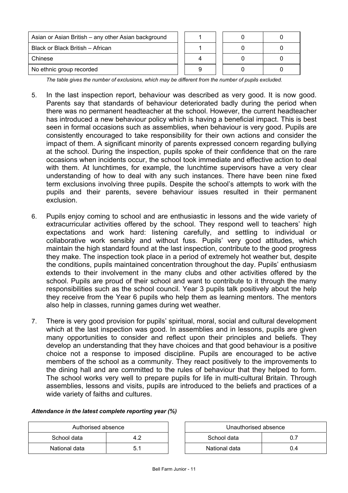| Asian or Asian British – any other Asian background |  |  |  |
|-----------------------------------------------------|--|--|--|
| Black or Black British - African                    |  |  |  |
| Chinese                                             |  |  |  |
| No ethnic group recorded                            |  |  |  |

*The table gives the number of exclusions, which may be different from the number of pupils excluded.*

- 5. In the last inspection report, behaviour was described as very good. It is now good. Parents say that standards of behaviour deteriorated badly during the period when there was no permanent headteacher at the school. However, the current headteacher has introduced a new behaviour policy which is having a beneficial impact. This is best seen in formal occasions such as assemblies, when behaviour is very good. Pupils are consistently encouraged to take responsibility for their own actions and consider the impact of them. A significant minority of parents expressed concern regarding bullying at the school. During the inspection, pupils spoke of their confidence that on the rare occasions when incidents occur, the school took immediate and effective action to deal with them. At lunchtimes, for example, the lunchtime supervisors have a very clear understanding of how to deal with any such instances. There have been nine fixed term exclusions involving three pupils. Despite the school's attempts to work with the pupils and their parents, severe behaviour issues resulted in their permanent exclusion.
- 6. Pupils enjoy coming to school and are enthusiastic in lessons and the wide variety of extracurricular activities offered by the school. They respond well to teachers' high expectations and work hard: listening carefully, and settling to individual or collaborative work sensibly and without fuss. Pupils' very good attitudes, which maintain the high standard found at the last inspection, contribute to the good progress they make. The inspection took place in a period of extremely hot weather but, despite the conditions, pupils maintained concentration throughout the day. Pupils' enthusiasm extends to their involvement in the many clubs and other activities offered by the school. Pupils are proud of their school and want to contribute to it through the many responsibilities such as the school council. Year 3 pupils talk positively about the help they receive from the Year 6 pupils who help them as learning mentors. The mentors also help in classes, running games during wet weather.
- 7. There is very good provision for pupils' spiritual, moral, social and cultural development which at the last inspection was good. In assemblies and in lessons, pupils are given many opportunities to consider and reflect upon their principles and beliefs. They develop an understanding that they have choices and that good behaviour is a positive choice not a response to imposed discipline. Pupils are encouraged to be active members of the school as a community. They react positively to the improvements to the dining hall and are committed to the rules of behaviour that they helped to form. The school works very well to prepare pupils for life in multi-cultural Britain. Through assemblies, lessons and visits, pupils are introduced to the beliefs and practices of a wide variety of faiths and cultures.

#### *Attendance in the latest complete reporting year (%)*

| Authorised absence |  |  | Unauthorised absence |     |
|--------------------|--|--|----------------------|-----|
| School data        |  |  | School data          | 0.7 |
| National data      |  |  | National data        | 0.4 |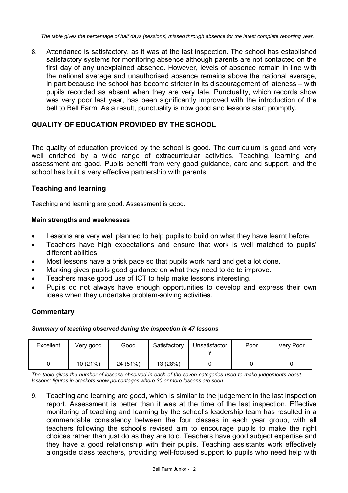*The table gives the percentage of half days (sessions) missed through absence for the latest complete reporting year.*

8. Attendance is satisfactory, as it was at the last inspection. The school has established satisfactory systems for monitoring absence although parents are not contacted on the first day of any unexplained absence. However, levels of absence remain in line with the national average and unauthorised absence remains above the national average, in part because the school has become stricter in its discouragement of lateness – with pupils recorded as absent when they are very late. Punctuality, which records show was very poor last year, has been significantly improved with the introduction of the bell to Bell Farm. As a result, punctuality is now good and lessons start promptly.

## **QUALITY OF EDUCATION PROVIDED BY THE SCHOOL**

The quality of education provided by the school is good. The curriculum is good and very well enriched by a wide range of extracurricular activities. Teaching, learning and assessment are good. Pupils benefit from very good guidance, care and support, and the school has built a very effective partnership with parents.

## **Teaching and learning**

Teaching and learning are good. Assessment is good.

#### **Main strengths and weaknesses**

- Lessons are very well planned to help pupils to build on what they have learnt before.
- Teachers have high expectations and ensure that work is well matched to pupils' different abilities.
- Most lessons have a brisk pace so that pupils work hard and get a lot done.
- Marking gives pupils good guidance on what they need to do to improve.
- Teachers make good use of ICT to help make lessons interesting.
- Pupils do not always have enough opportunities to develop and express their own ideas when they undertake problem-solving activities.

## **Commentary**

#### *Summary of teaching observed during the inspection in 47 lessons*

| Excellent | Very good | Good     | Satisfactory | Unsatisfactor | Poor | Very Poor |
|-----------|-----------|----------|--------------|---------------|------|-----------|
|           | 10(21%)   | 24 (51%) | 13 (28%)     |               |      |           |

*The table gives the number of lessons observed in each of the seven categories used to make judgements about lessons; figures in brackets show percentages where 30 or more lessons are seen.* 

9. Teaching and learning are good, which is similar to the judgement in the last inspection report. Assessment is better than it was at the time of the last inspection. Effective monitoring of teaching and learning by the school's leadership team has resulted in a commendable consistency between the four classes in each year group, with all teachers following the school's revised aim to encourage pupils to make the right choices rather than just do as they are told. Teachers have good subject expertise and they have a good relationship with their pupils. Teaching assistants work effectively alongside class teachers, providing well-focused support to pupils who need help with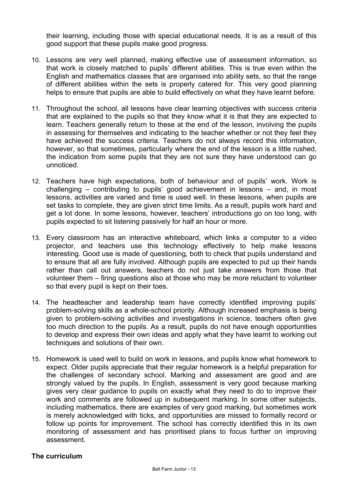their learning, including those with special educational needs. It is as a result of this good support that these pupils make good progress.

- 10. Lessons are very well planned, making effective use of assessment information, so that work is closely matched to pupils' different abilities. This is true even within the English and mathematics classes that are organised into ability sets, so that the range of different abilities within the sets is properly catered for. This very good planning helps to ensure that pupils are able to build effectively on what they have learnt before.
- 11. Throughout the school, all lessons have clear learning objectives with success criteria that are explained to the pupils so that they know what it is that they are expected to learn. Teachers generally return to these at the end of the lesson, involving the pupils in assessing for themselves and indicating to the teacher whether or not they feel they have achieved the success criteria. Teachers do not always record this information, however, so that sometimes, particularly where the end of the lesson is a little rushed, the indication from some pupils that they are not sure they have understood can go unnoticed.
- 12. Teachers have high expectations, both of behaviour and of pupils' work. Work is challenging – contributing to pupils' good achievement in lessons – and, in most lessons, activities are varied and time is used well. In these lessons, when pupils are set tasks to complete, they are given strict time limits. As a result, pupils work hard and get a lot done. In some lessons, however, teachers' introductions go on too long, with pupils expected to sit listening passively for half an hour or more.
- 13. Every classroom has an interactive whiteboard, which links a computer to a video projector, and teachers use this technology effectively to help make lessons interesting. Good use is made of questioning, both to check that pupils understand and to ensure that all are fully involved. Although pupils are expected to put up their hands rather than call out answers, teachers do not just take answers from those that volunteer them – firing questions also at those who may be more reluctant to volunteer so that every pupil is kept on their toes.
- 14. The headteacher and leadership team have correctly identified improving pupils' problem-solving skills as a whole-school priority. Although increased emphasis is being given to problem-solving activities and investigations in science, teachers often give too much direction to the pupils. As a result, pupils do not have enough opportunities to develop and express their own ideas and apply what they have learnt to working out techniques and solutions of their own.
- 15. Homework is used well to build on work in lessons, and pupils know what homework to expect. Older pupils appreciate that their regular homework is a helpful preparation for the challenges of secondary school. Marking and assessment are good and are strongly valued by the pupils. In English, assessment is very good because marking gives very clear guidance to pupils on exactly what they need to do to improve their work and comments are followed up in subsequent marking. In some other subjects, including mathematics, there are examples of very good marking, but sometimes work is merely acknowledged with ticks, and opportunities are missed to formally record or follow up points for improvement. The school has correctly identified this in its own monitoring of assessment and has prioritised plans to focus further on improving assessment.

## **The curriculum**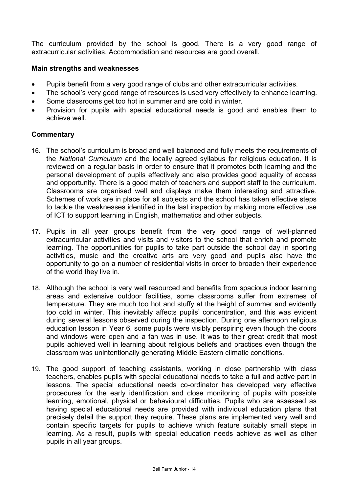The curriculum provided by the school is good. There is a very good range of extracurricular activities. Accommodation and resources are good overall.

#### **Main strengths and weaknesses**

- Pupils benefit from a very good range of clubs and other extracurricular activities.
- The school's very good range of resources is used very effectively to enhance learning.
- Some classrooms get too hot in summer and are cold in winter.
- Provision for pupils with special educational needs is good and enables them to achieve well.

#### **Commentary**

- 16. The school's curriculum is broad and well balanced and fully meets the requirements of the *National Curriculum* and the locally agreed syllabus for religious education. It is reviewed on a regular basis in order to ensure that it promotes both learning and the personal development of pupils effectively and also provides good equality of access and opportunity. There is a good match of teachers and support staff to the curriculum. Classrooms are organised well and displays make them interesting and attractive. Schemes of work are in place for all subjects and the school has taken effective steps to tackle the weaknesses identified in the last inspection by making more effective use of ICT to support learning in English, mathematics and other subjects.
- 17. Pupils in all year groups benefit from the very good range of well-planned extracurricular activities and visits and visitors to the school that enrich and promote learning. The opportunities for pupils to take part outside the school day in sporting activities, music and the creative arts are very good and pupils also have the opportunity to go on a number of residential visits in order to broaden their experience of the world they live in.
- 18. Although the school is very well resourced and benefits from spacious indoor learning areas and extensive outdoor facilities, some classrooms suffer from extremes of temperature. They are much too hot and stuffy at the height of summer and evidently too cold in winter. This inevitably affects pupils' concentration, and this was evident during several lessons observed during the inspection. During one afternoon religious education lesson in Year 6, some pupils were visibly perspiring even though the doors and windows were open and a fan was in use. It was to their great credit that most pupils achieved well in learning about religious beliefs and practices even though the classroom was unintentionally generating Middle Eastern climatic conditions.
- 19. The good support of teaching assistants, working in close partnership with class teachers, enables pupils with special educational needs to take a full and active part in lessons. The special educational needs co-ordinator has developed very effective procedures for the early identification and close monitoring of pupils with possible learning, emotional, physical or behavioural difficulties. Pupils who are assessed as having special educational needs are provided with individual education plans that precisely detail the support they require. These plans are implemented very well and contain specific targets for pupils to achieve which feature suitably small steps in learning. As a result, pupils with special education needs achieve as well as other pupils in all year groups.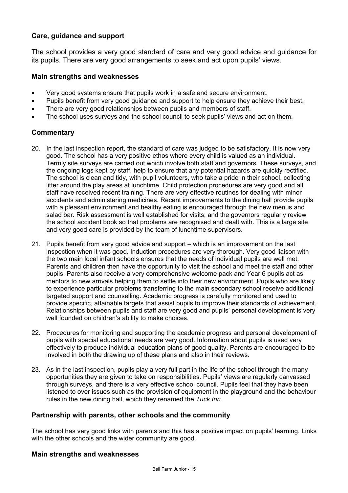## **Care, guidance and support**

The school provides a very good standard of care and very good advice and guidance for its pupils. There are very good arrangements to seek and act upon pupils' views.

#### **Main strengths and weaknesses**

- Very good systems ensure that pupils work in a safe and secure environment.
- Pupils benefit from very good guidance and support to help ensure they achieve their best.
- There are very good relationships between pupils and members of staff.
- The school uses surveys and the school council to seek pupils' views and act on them.

## **Commentary**

- 20. In the last inspection report, the standard of care was judged to be satisfactory. It is now very good. The school has a very positive ethos where every child is valued as an individual. Termly site surveys are carried out which involve both staff and governors. These surveys, and the ongoing logs kept by staff, help to ensure that any potential hazards are quickly rectified. The school is clean and tidy, with pupil volunteers, who take a pride in their school, collecting litter around the play areas at lunchtime. Child protection procedures are very good and all staff have received recent training. There are very effective routines for dealing with minor accidents and administering medicines. Recent improvements to the dining hall provide pupils with a pleasant environment and healthy eating is encouraged through the new menus and salad bar. Risk assessment is well established for visits, and the governors regularly review the school accident book so that problems are recognised and dealt with. This is a large site and very good care is provided by the team of lunchtime supervisors.
- 21. Pupils benefit from very good advice and support which is an improvement on the last inspection when it was good. Induction procedures are very thorough. Very good liaison with the two main local infant schools ensures that the needs of individual pupils are well met. Parents and children then have the opportunity to visit the school and meet the staff and other pupils. Parents also receive a very comprehensive welcome pack and Year 6 pupils act as mentors to new arrivals helping them to settle into their new environment. Pupils who are likely to experience particular problems transferring to the main secondary school receive additional targeted support and counselling. Academic progress is carefully monitored and used to provide specific, attainable targets that assist pupils to improve their standards of achievement. Relationships between pupils and staff are very good and pupils' personal development is very well founded on children's ability to make choices.
- 22. Procedures for monitoring and supporting the academic progress and personal development of pupils with special educational needs are very good. Information about pupils is used very effectively to produce individual education plans of good quality. Parents are encouraged to be involved in both the drawing up of these plans and also in their reviews.
- 23. As in the last inspection, pupils play a very full part in the life of the school through the many opportunities they are given to take on responsibilities. Pupils' views are regularly canvassed through surveys, and there is a very effective school council. Pupils feel that they have been listened to over issues such as the provision of equipment in the playground and the behaviour rules in the new dining hall, which they renamed the *Tuck Inn*.

## **Partnership with parents, other schools and the community**

The school has very good links with parents and this has a positive impact on pupils' learning. Links with the other schools and the wider community are good.

#### **Main strengths and weaknesses**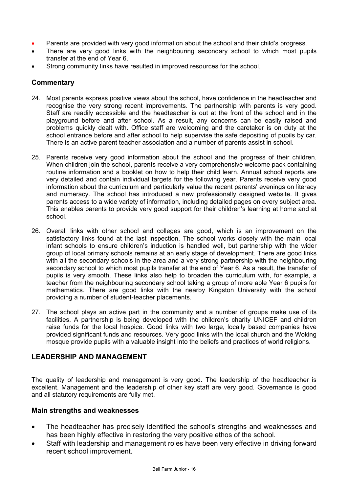- Parents are provided with very good information about the school and their child's progress.
- There are very good links with the neighbouring secondary school to which most pupils transfer at the end of Year 6.
- Strong community links have resulted in improved resources for the school.

#### **Commentary**

- 24. Most parents express positive views about the school, have confidence in the headteacher and recognise the very strong recent improvements. The partnership with parents is very good. Staff are readily accessible and the headteacher is out at the front of the school and in the playground before and after school. As a result, any concerns can be easily raised and problems quickly dealt with. Office staff are welcoming and the caretaker is on duty at the school entrance before and after school to help supervise the safe depositing of pupils by car. There is an active parent teacher association and a number of parents assist in school.
- 25. Parents receive very good information about the school and the progress of their children. When children join the school, parents receive a very comprehensive welcome pack containing routine information and a booklet on how to help their child learn. Annual school reports are very detailed and contain individual targets for the following year. Parents receive very good information about the curriculum and particularly value the recent parents' evenings on literacy and numeracy. The school has introduced a new professionally designed website. It gives parents access to a wide variety of information, including detailed pages on every subject area. This enables parents to provide very good support for their children's learning at home and at school.
- 26. Overall links with other school and colleges are good, which is an improvement on the satisfactory links found at the last inspection. The school works closely with the main local infant schools to ensure children's induction is handled well, but partnership with the wider group of local primary schools remains at an early stage of development. There are good links with all the secondary schools in the area and a very strong partnership with the neighbouring secondary school to which most pupils transfer at the end of Year 6. As a result, the transfer of pupils is very smooth. These links also help to broaden the curriculum with, for example, a teacher from the neighbouring secondary school taking a group of more able Year 6 pupils for mathematics. There are good links with the nearby Kingston University with the school providing a number of student-teacher placements.
- 27. The school plays an active part in the community and a number of groups make use of its facilities. A partnership is being developed with the children's charity UNICEF and children raise funds for the local hospice. Good links with two large, locally based companies have provided significant funds and resources. Very good links with the local church and the Woking mosque provide pupils with a valuable insight into the beliefs and practices of world religions.

## **LEADERSHIP AND MANAGEMENT**

The quality of leadership and management is very good. The leadership of the headteacher is excellent. Management and the leadership of other key staff are very good. Governance is good and all statutory requirements are fully met.

## **Main strengths and weaknesses**

- The headteacher has precisely identified the school's strengths and weaknesses and has been highly effective in restoring the very positive ethos of the school.
- Staff with leadership and management roles have been very effective in driving forward recent school improvement.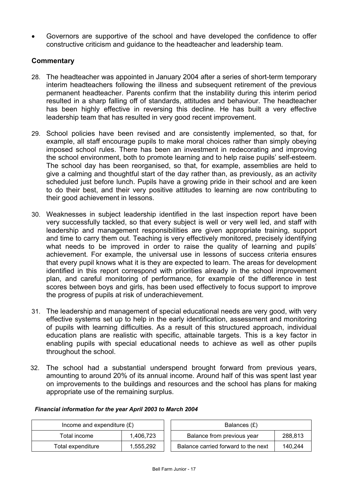• Governors are supportive of the school and have developed the confidence to offer constructive criticism and guidance to the headteacher and leadership team.

## **Commentary**

- 28. The headteacher was appointed in January 2004 after a series of short-term temporary interim headteachers following the illness and subsequent retirement of the previous permanent headteacher. Parents confirm that the instability during this interim period resulted in a sharp falling off of standards, attitudes and behaviour. The headteacher has been highly effective in reversing this decline. He has built a very effective leadership team that has resulted in very good recent improvement.
- 29. School policies have been revised and are consistently implemented, so that, for example, all staff encourage pupils to make moral choices rather than simply obeying imposed school rules. There has been an investment in redecorating and improving the school environment, both to promote learning and to help raise pupils' self-esteem. The school day has been reorganised, so that, for example, assemblies are held to give a calming and thoughtful start of the day rather than, as previously, as an activity scheduled just before lunch. Pupils have a growing pride in their school and are keen to do their best, and their very positive attitudes to learning are now contributing to their good achievement in lessons.
- 30. Weaknesses in subject leadership identified in the last inspection report have been very successfully tackled, so that every subject is well or very well led, and staff with leadership and management responsibilities are given appropriate training, support and time to carry them out. Teaching is very effectively monitored, precisely identifying what needs to be improved in order to raise the quality of learning and pupils' achievement. For example, the universal use in lessons of success criteria ensures that every pupil knows what it is they are expected to learn. The areas for development identified in this report correspond with priorities already in the school improvement plan, and careful monitoring of performance, for example of the difference in test scores between boys and girls, has been used effectively to focus support to improve the progress of pupils at risk of underachievement.
- 31. The leadership and management of special educational needs are very good, with very effective systems set up to help in the early identification, assessment and monitoring of pupils with learning difficulties. As a result of this structured approach, individual education plans are realistic with specific, attainable targets. This is a key factor in enabling pupils with special educational needs to achieve as well as other pupils throughout the school.
- 32. The school had a substantial underspend brought forward from previous years, amounting to around 20% of its annual income. Around half of this was spent last year on improvements to the buildings and resources and the school has plans for making appropriate use of the remaining surplus.

| Income and expenditure $(E)$ | Balances $(E)$ |
|------------------------------|----------------|
|                              |                |

#### *Financial information for the year April 2003 to March 2004*

| Income and expenditure $(E)$ |           | Balances (£)                        |         |  |
|------------------------------|-----------|-------------------------------------|---------|--|
| Total income                 | 1.406.723 | Balance from previous year          | 288,813 |  |
| Total expenditure            | 1.555.292 | Balance carried forward to the next | 140.244 |  |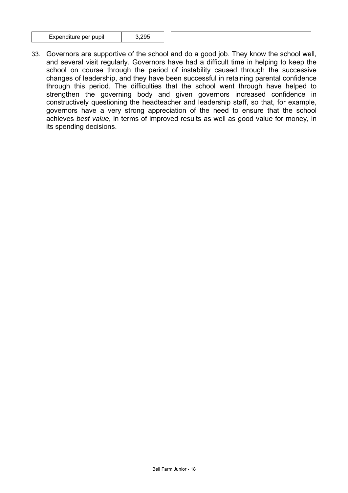| Expenditure per pupil | 3,295 |
|-----------------------|-------|
|-----------------------|-------|

33. Governors are supportive of the school and do a good job. They know the school well, and several visit regularly. Governors have had a difficult time in helping to keep the school on course through the period of instability caused through the successive changes of leadership, and they have been successful in retaining parental confidence through this period. The difficulties that the school went through have helped to strengthen the governing body and given governors increased confidence in constructively questioning the headteacher and leadership staff, so that, for example, governors have a very strong appreciation of the need to ensure that the school achieves *best value*, in terms of improved results as well as good value for money, in its spending decisions.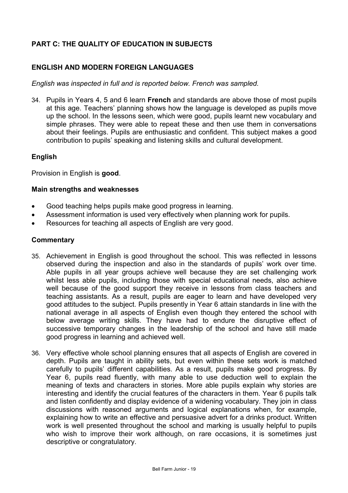# **PART C: THE QUALITY OF EDUCATION IN SUBJECTS**

## **ENGLISH AND MODERN FOREIGN LANGUAGES**

*English was inspected in full and is reported below. French was sampled.* 

34. Pupils in Years 4, 5 and 6 learn **French** and standards are above those of most pupils at this age. Teachers' planning shows how the language is developed as pupils move up the school. In the lessons seen, which were good, pupils learnt new vocabulary and simple phrases. They were able to repeat these and then use them in conversations about their feelings. Pupils are enthusiastic and confident. This subject makes a good contribution to pupils' speaking and listening skills and cultural development.

#### **English**

Provision in English is **good**.

#### **Main strengths and weaknesses**

- Good teaching helps pupils make good progress in learning.
- Assessment information is used very effectively when planning work for pupils.
- Resources for teaching all aspects of English are very good.

#### **Commentary**

- 35. Achievement in English is good throughout the school. This was reflected in lessons observed during the inspection and also in the standards of pupils' work over time. Able pupils in all year groups achieve well because they are set challenging work whilst less able pupils, including those with special educational needs, also achieve well because of the good support they receive in lessons from class teachers and teaching assistants. As a result, pupils are eager to learn and have developed very good attitudes to the subject. Pupils presently in Year 6 attain standards in line with the national average in all aspects of English even though they entered the school with below average writing skills. They have had to endure the disruptive effect of successive temporary changes in the leadership of the school and have still made good progress in learning and achieved well.
- 36. Very effective whole school planning ensures that all aspects of English are covered in depth. Pupils are taught in ability sets, but even within these sets work is matched carefully to pupils' different capabilities. As a result, pupils make good progress. By Year 6, pupils read fluently, with many able to use deduction well to explain the meaning of texts and characters in stories. More able pupils explain why stories are interesting and identify the crucial features of the characters in them. Year 6 pupils talk and listen confidently and display evidence of a widening vocabulary. They join in class discussions with reasoned arguments and logical explanations when, for example, explaining how to write an effective and persuasive advert for a drinks product. Written work is well presented throughout the school and marking is usually helpful to pupils who wish to improve their work although, on rare occasions, it is sometimes just descriptive or congratulatory.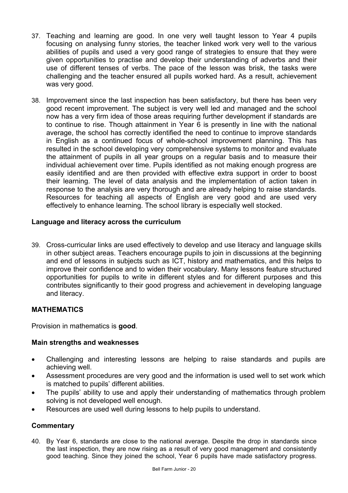- 37. Teaching and learning are good. In one very well taught lesson to Year 4 pupils focusing on analysing funny stories, the teacher linked work very well to the various abilities of pupils and used a very good range of strategies to ensure that they were given opportunities to practise and develop their understanding of adverbs and their use of different tenses of verbs. The pace of the lesson was brisk, the tasks were challenging and the teacher ensured all pupils worked hard. As a result, achievement was very good.
- 38. Improvement since the last inspection has been satisfactory, but there has been very good recent improvement. The subject is very well led and managed and the school now has a very firm idea of those areas requiring further development if standards are to continue to rise. Though attainment in Year 6 is presently in line with the national average, the school has correctly identified the need to continue to improve standards in English as a continued focus of whole-school improvement planning. This has resulted in the school developing very comprehensive systems to monitor and evaluate the attainment of pupils in all year groups on a regular basis and to measure their individual achievement over time. Pupils identified as not making enough progress are easily identified and are then provided with effective extra support in order to boost their learning. The level of data analysis and the implementation of action taken in response to the analysis are very thorough and are already helping to raise standards. Resources for teaching all aspects of English are very good and are used very effectively to enhance learning. The school library is especially well stocked.

## **Language and literacy across the curriculum**

39. Cross-curricular links are used effectively to develop and use literacy and language skills in other subject areas. Teachers encourage pupils to join in discussions at the beginning and end of lessons in subjects such as ICT, history and mathematics, and this helps to improve their confidence and to widen their vocabulary. Many lessons feature structured opportunities for pupils to write in different styles and for different purposes and this contributes significantly to their good progress and achievement in developing language and literacy.

## **MATHEMATICS**

Provision in mathematics is **good**.

#### **Main strengths and weaknesses**

- Challenging and interesting lessons are helping to raise standards and pupils are achieving well.
- Assessment procedures are very good and the information is used well to set work which is matched to pupils' different abilities.
- The pupils' ability to use and apply their understanding of mathematics through problem solving is not developed well enough.
- Resources are used well during lessons to help pupils to understand.

## **Commentary**

40. By Year 6, standards are close to the national average. Despite the drop in standards since the last inspection, they are now rising as a result of very good management and consistently good teaching. Since they joined the school, Year 6 pupils have made satisfactory progress.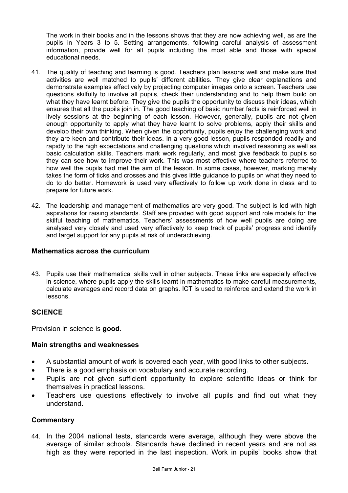The work in their books and in the lessons shows that they are now achieving well, as are the pupils in Years 3 to 5. Setting arrangements, following careful analysis of assessment information, provide well for all pupils including the most able and those with special educational needs.

- 41. The quality of teaching and learning is good. Teachers plan lessons well and make sure that activities are well matched to pupils' different abilities. They give clear explanations and demonstrate examples effectively by projecting computer images onto a screen. Teachers use questions skilfully to involve all pupils, check their understanding and to help them build on what they have learnt before. They give the pupils the opportunity to discuss their ideas, which ensures that all the pupils join in. The good teaching of basic number facts is reinforced well in lively sessions at the beginning of each lesson. However, generally, pupils are not given enough opportunity to apply what they have learnt to solve problems, apply their skills and develop their own thinking. When given the opportunity, pupils enjoy the challenging work and they are keen and contribute their ideas. In a very good lesson, pupils responded readily and rapidly to the high expectations and challenging questions which involved reasoning as well as basic calculation skills. Teachers mark work regularly, and most give feedback to pupils so they can see how to improve their work. This was most effective where teachers referred to how well the pupils had met the aim of the lesson. In some cases, however, marking merely takes the form of ticks and crosses and this gives little guidance to pupils on what they need to do to do better. Homework is used very effectively to follow up work done in class and to prepare for future work.
- 42. The leadership and management of mathematics are very good. The subject is led with high aspirations for raising standards. Staff are provided with good support and role models for the skilful teaching of mathematics. Teachers' assessments of how well pupils are doing are analysed very closely and used very effectively to keep track of pupils' progress and identify and target support for any pupils at risk of underachieving.

#### **Mathematics across the curriculum**

43. Pupils use their mathematical skills well in other subjects. These links are especially effective in science, where pupils apply the skills learnt in mathematics to make careful measurements, calculate averages and record data on graphs. ICT is used to reinforce and extend the work in lessons.

## **SCIENCE**

Provision in science is **good**.

## **Main strengths and weaknesses**

- A substantial amount of work is covered each year, with good links to other subjects.
- There is a good emphasis on vocabulary and accurate recording.
- Pupils are not given sufficient opportunity to explore scientific ideas or think for themselves in practical lessons.
- Teachers use questions effectively to involve all pupils and find out what they understand.

## **Commentary**

44. In the 2004 national tests, standards were average, although they were above the average of similar schools. Standards have declined in recent years and are not as high as they were reported in the last inspection. Work in pupils' books show that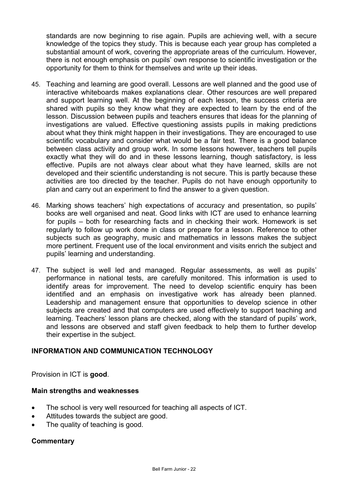standards are now beginning to rise again. Pupils are achieving well, with a secure knowledge of the topics they study. This is because each year group has completed a substantial amount of work, covering the appropriate areas of the curriculum. However, there is not enough emphasis on pupils' own response to scientific investigation or the opportunity for them to think for themselves and write up their ideas.

- 45. Teaching and learning are good overall. Lessons are well planned and the good use of interactive whiteboards makes explanations clear. Other resources are well prepared and support learning well. At the beginning of each lesson, the success criteria are shared with pupils so they know what they are expected to learn by the end of the lesson. Discussion between pupils and teachers ensures that ideas for the planning of investigations are valued. Effective questioning assists pupils in making predictions about what they think might happen in their investigations. They are encouraged to use scientific vocabulary and consider what would be a fair test. There is a good balance between class activity and group work. In some lessons however, teachers tell pupils exactly what they will do and in these lessons learning, though satisfactory, is less effective. Pupils are not always clear about what they have learned, skills are not developed and their scientific understanding is not secure. This is partly because these activities are too directed by the teacher. Pupils do not have enough opportunity to plan and carry out an experiment to find the answer to a given question.
- 46. Marking shows teachers' high expectations of accuracy and presentation, so pupils' books are well organised and neat. Good links with ICT are used to enhance learning for pupils – both for researching facts and in checking their work. Homework is set regularly to follow up work done in class or prepare for a lesson. Reference to other subjects such as geography, music and mathematics in lessons makes the subject more pertinent. Frequent use of the local environment and visits enrich the subject and pupils' learning and understanding.
- 47. The subject is well led and managed. Regular assessments, as well as pupils' performance in national tests, are carefully monitored. This information is used to identify areas for improvement. The need to develop scientific enquiry has been identified and an emphasis on investigative work has already been planned. Leadership and management ensure that opportunities to develop science in other subjects are created and that computers are used effectively to support teaching and learning. Teachers' lesson plans are checked, along with the standard of pupils' work, and lessons are observed and staff given feedback to help them to further develop their expertise in the subject.

## **INFORMATION AND COMMUNICATION TECHNOLOGY**

Provision in ICT is **good**.

## **Main strengths and weaknesses**

- The school is very well resourced for teaching all aspects of ICT.
- Attitudes towards the subject are good.
- The quality of teaching is good.

## **Commentary**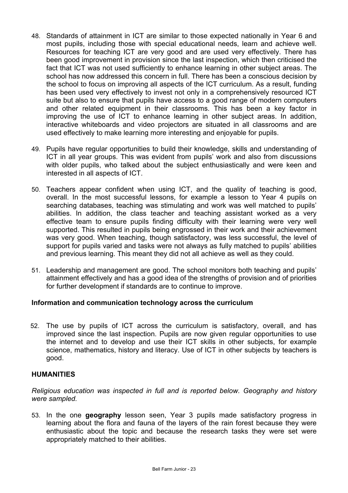- 48. Standards of attainment in ICT are similar to those expected nationally in Year 6 and most pupils, including those with special educational needs, learn and achieve well. Resources for teaching ICT are very good and are used very effectively. There has been good improvement in provision since the last inspection, which then criticised the fact that ICT was not used sufficiently to enhance learning in other subject areas. The school has now addressed this concern in full. There has been a conscious decision by the school to focus on improving all aspects of the ICT curriculum. As a result, funding has been used very effectively to invest not only in a comprehensively resourced ICT suite but also to ensure that pupils have access to a good range of modern computers and other related equipment in their classrooms. This has been a key factor in improving the use of ICT to enhance learning in other subject areas. In addition, interactive whiteboards and video projectors are situated in all classrooms and are used effectively to make learning more interesting and enjoyable for pupils.
- 49. Pupils have regular opportunities to build their knowledge, skills and understanding of ICT in all year groups. This was evident from pupils' work and also from discussions with older pupils, who talked about the subiect enthusiastically and were keen and interested in all aspects of ICT.
- 50. Teachers appear confident when using ICT, and the quality of teaching is good, overall. In the most successful lessons, for example a lesson to Year 4 pupils on searching databases, teaching was stimulating and work was well matched to pupils' abilities. In addition, the class teacher and teaching assistant worked as a very effective team to ensure pupils finding difficulty with their learning were very well supported. This resulted in pupils being engrossed in their work and their achievement was very good. When teaching, though satisfactory, was less successful, the level of support for pupils varied and tasks were not always as fully matched to pupils' abilities and previous learning. This meant they did not all achieve as well as they could.
- 51. Leadership and management are good. The school monitors both teaching and pupils' attainment effectively and has a good idea of the strengths of provision and of priorities for further development if standards are to continue to improve.

## **Information and communication technology across the curriculum**

52. The use by pupils of ICT across the curriculum is satisfactory, overall, and has improved since the last inspection. Pupils are now given regular opportunities to use the internet and to develop and use their ICT skills in other subjects, for example science, mathematics, history and literacy. Use of ICT in other subjects by teachers is good.

## **HUMANITIES**

*Religious education was inspected in full and is reported below. Geography and history were sampled.* 

53. In the one **geography** lesson seen, Year 3 pupils made satisfactory progress in learning about the flora and fauna of the layers of the rain forest because they were enthusiastic about the topic and because the research tasks they were set were appropriately matched to their abilities.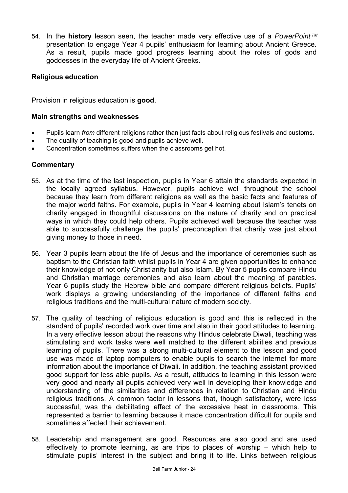54. In the **history** lesson seen, the teacher made very effective use of a *PowerPoint* presentation to engage Year 4 pupils' enthusiasm for learning about Ancient Greece. As a result, pupils made good progress learning about the roles of gods and goddesses in the everyday life of Ancient Greeks.

## **Religious education**

Provision in religious education is **good**.

#### **Main strengths and weaknesses**

- Pupils learn *from* different religions rather than just facts about religious festivals and customs.
- The quality of teaching is good and pupils achieve well.
- Concentration sometimes suffers when the classrooms get hot.

#### **Commentary**

- 55. As at the time of the last inspection, pupils in Year 6 attain the standards expected in the locally agreed syllabus. However, pupils achieve well throughout the school because they learn from different religions as well as the basic facts and features of the major world faiths. For example, pupils in Year 4 learning about Islam's tenets on charity engaged in thoughtful discussions on the nature of charity and on practical ways in which they could help others. Pupils achieved well because the teacher was able to successfully challenge the pupils' preconception that charity was just about giving money to those in need.
- 56. Year 3 pupils learn about the life of Jesus and the importance of ceremonies such as baptism to the Christian faith whilst pupils in Year 4 are given opportunities to enhance their knowledge of not only Christianity but also Islam. By Year 5 pupils compare Hindu and Christian marriage ceremonies and also learn about the meaning of parables. Year 6 pupils study the Hebrew bible and compare different religious beliefs. Pupils' work displays a growing understanding of the importance of different faiths and religious traditions and the multi-cultural nature of modern society.
- 57. The quality of teaching of religious education is good and this is reflected in the standard of pupils' recorded work over time and also in their good attitudes to learning. In a very effective lesson about the reasons why Hindus celebrate Diwali, teaching was stimulating and work tasks were well matched to the different abilities and previous learning of pupils. There was a strong multi-cultural element to the lesson and good use was made of laptop computers to enable pupils to search the internet for more information about the importance of Diwali. In addition, the teaching assistant provided good support for less able pupils. As a result, attitudes to learning in this lesson were very good and nearly all pupils achieved very well in developing their knowledge and understanding of the similarities and differences in relation to Christian and Hindu religious traditions. A common factor in lessons that, though satisfactory, were less successful, was the debilitating effect of the excessive heat in classrooms. This represented a barrier to learning because it made concentration difficult for pupils and sometimes affected their achievement.
- 58. Leadership and management are good. Resources are also good and are used effectively to promote learning, as are trips to places of worship – which help to stimulate pupils' interest in the subject and bring it to life. Links between religious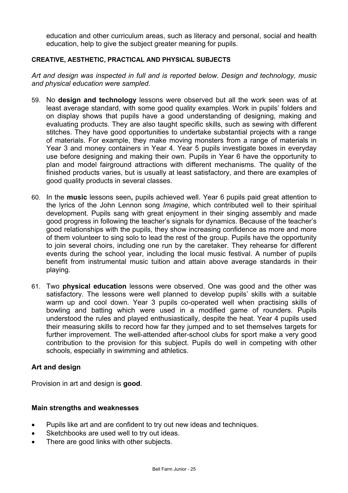education and other curriculum areas, such as literacy and personal, social and health education, help to give the subject greater meaning for pupils.

#### **CREATIVE, AESTHETIC, PRACTICAL AND PHYSICAL SUBJECTS**

*Art and design was inspected in full and is reported below. Design and technology, music and physical education were sampled.*

- 59. No **design and technology** lessons were observed but all the work seen was of at least average standard, with some good quality examples. Work in pupils' folders and on display shows that pupils have a good understanding of designing, making and evaluating products. They are also taught specific skills, such as sewing with different stitches. They have good opportunities to undertake substantial projects with a range of materials. For example, they make moving monsters from a range of materials in Year 3 and money containers in Year 4. Year 5 pupils investigate boxes in everyday use before designing and making their own. Pupils in Year 6 have the opportunity to plan and model fairground attractions with different mechanisms. The quality of the finished products varies, but is usually at least satisfactory, and there are examples of good quality products in several classes.
- 60. In the **music** lessons seen**,** pupils achieved well. Year 6 pupils paid great attention to the lyrics of the John Lennon song *Imagine*, which contributed well to their spiritual development. Pupils sang with great enjoyment in their singing assembly and made good progress in following the teacher's signals for dynamics. Because of the teacher's good relationships with the pupils, they show increasing confidence as more and more of them volunteer to sing solo to lead the rest of the group. Pupils have the opportunity to join several choirs, including one run by the caretaker. They rehearse for different events during the school year, including the local music festival. A number of pupils benefit from instrumental music tuition and attain above average standards in their playing.
- 61. Two **physical education** lessons were observed. One was good and the other was satisfactory. The lessons were well planned to develop pupils' skills with a suitable warm up and cool down. Year 3 pupils co-operated well when practising skills of bowling and batting which were used in a modified game of rounders. Pupils understood the rules and played enthusiastically, despite the heat. Year 4 pupils used their measuring skills to record how far they jumped and to set themselves targets for further improvement. The well-attended after-school clubs for sport make a very good contribution to the provision for this subject. Pupils do well in competing with other schools, especially in swimming and athletics.

## **Art and design**

Provision in art and design is **good**.

#### **Main strengths and weaknesses**

- Pupils like art and are confident to try out new ideas and techniques.
- Sketchbooks are used well to try out ideas.
- There are good links with other subjects.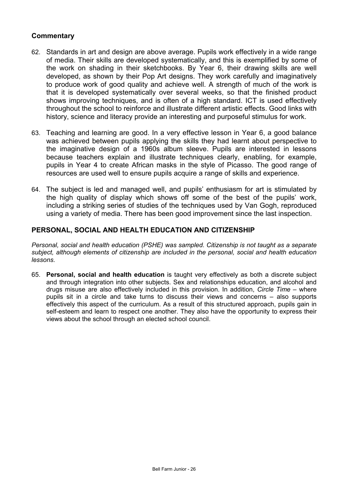## **Commentary**

- 62. Standards in art and design are above average. Pupils work effectively in a wide range of media. Their skills are developed systematically, and this is exemplified by some of the work on shading in their sketchbooks. By Year 6, their drawing skills are well developed, as shown by their Pop Art designs. They work carefully and imaginatively to produce work of good quality and achieve well. A strength of much of the work is that it is developed systematically over several weeks, so that the finished product shows improving techniques, and is often of a high standard. ICT is used effectively throughout the school to reinforce and illustrate different artistic effects. Good links with history, science and literacy provide an interesting and purposeful stimulus for work.
- 63. Teaching and learning are good. In a very effective lesson in Year 6, a good balance was achieved between pupils applying the skills they had learnt about perspective to the imaginative design of a 1960s album sleeve. Pupils are interested in lessons because teachers explain and illustrate techniques clearly, enabling, for example, pupils in Year 4 to create African masks in the style of Picasso. The good range of resources are used well to ensure pupils acquire a range of skills and experience.
- 64. The subject is led and managed well, and pupils' enthusiasm for art is stimulated by the high quality of display which shows off some of the best of the pupils' work, including a striking series of studies of the techniques used by Van Gogh, reproduced using a variety of media. There has been good improvement since the last inspection.

## **PERSONAL, SOCIAL AND HEALTH EDUCATION AND CITIZENSHIP**

*Personal, social and health education (PSHE) was sampled. Citizenship is not taught as a separate subject, although elements of citizenship are included in the personal, social and health education lessons.*

65. **Personal, social and health education** is taught very effectively as both a discrete subject and through integration into other subjects. Sex and relationships education, and alcohol and drugs misuse are also effectively included in this provision. In addition, *Circle Time* – where pupils sit in a circle and take turns to discuss their views and concerns – also supports effectively this aspect of the curriculum. As a result of this structured approach, pupils gain in self-esteem and learn to respect one another. They also have the opportunity to express their views about the school through an elected school council.